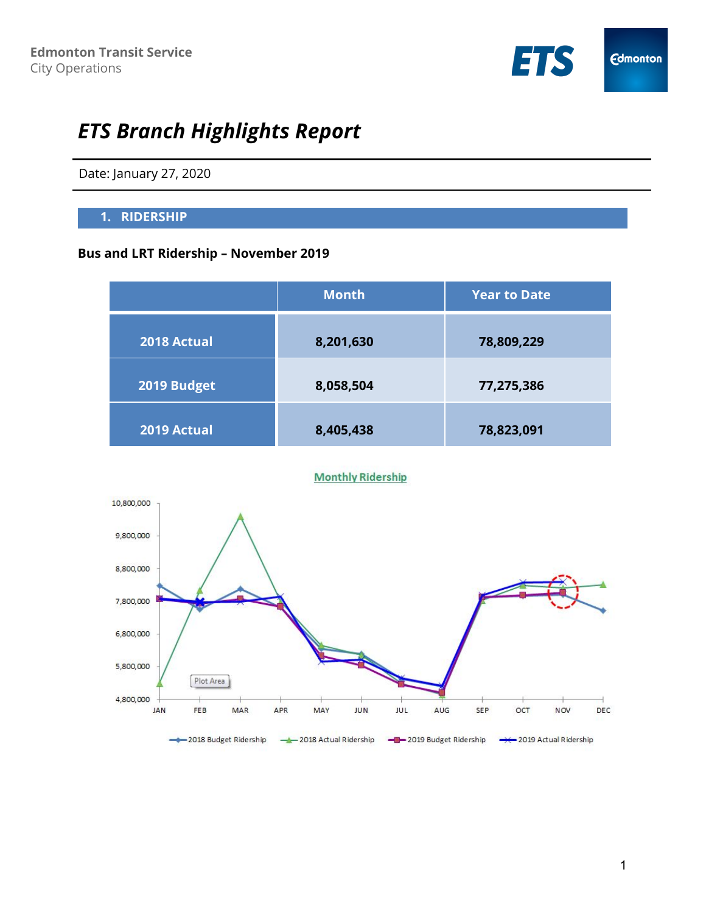

# *ETS Branch Highlights Report*

Date: January 27, 2020

## **1. RIDERSHIP**

# **Bus and LRT Ridership – November 2019**

|             | <b>Month</b> | <b>Year to Date</b> |
|-------------|--------------|---------------------|
| 2018 Actual | 8,201,630    | 78,809,229          |
| 2019 Budget | 8,058,504    | 77,275,386          |
| 2019 Actual | 8,405,438    | 78,823,091          |

#### **Monthly Ridership**

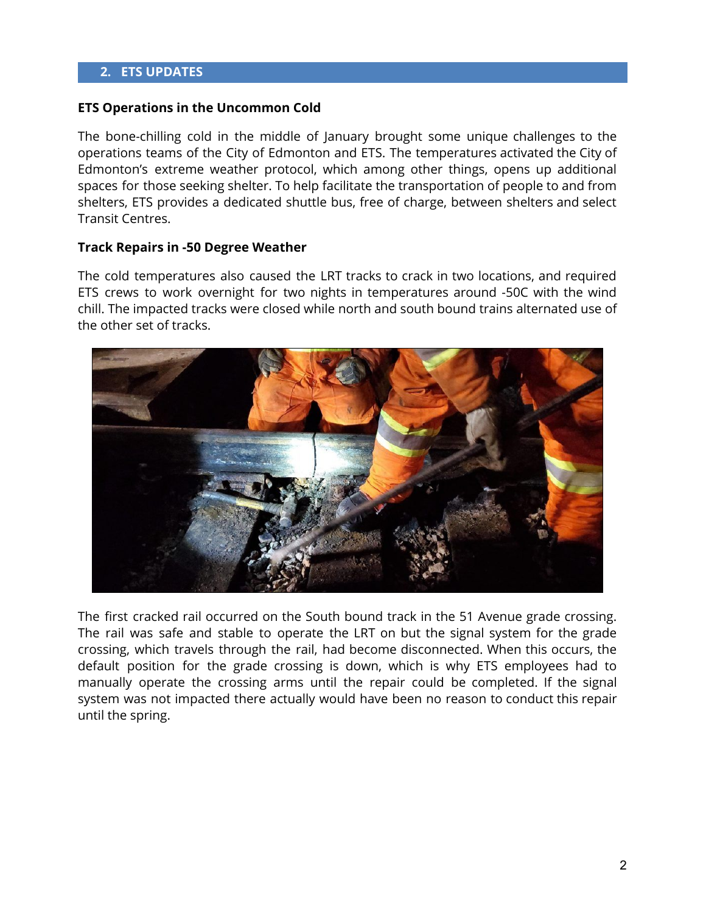### **2. ETS UPDATES**

#### **ETS Operations in the Uncommon Cold**

The bone-chilling cold in the middle of January brought some unique challenges to the operations teams of the City of Edmonton and ETS. The temperatures activated the City of Edmonton's extreme weather protocol, which among other things, opens up additional spaces for those seeking shelter. To help facilitate the transportation of people to and from shelters, ETS provides a dedicated shuttle bus, free of charge, between shelters and select Transit Centres.

#### **Track Repairs in -50 Degree Weather**

The cold temperatures also caused the LRT tracks to crack in two locations, and required ETS crews to work overnight for two nights in temperatures around -50C with the wind chill. The impacted tracks were closed while north and south bound trains alternated use of the other set of tracks.



The first cracked rail occurred on the South bound track in the 51 Avenue grade crossing. The rail was safe and stable to operate the LRT on but the signal system for the grade crossing, which travels through the rail, had become disconnected. When this occurs, the default position for the grade crossing is down, which is why ETS employees had to manually operate the crossing arms until the repair could be completed. If the signal system was not impacted there actually would have been no reason to conduct this repair until the spring.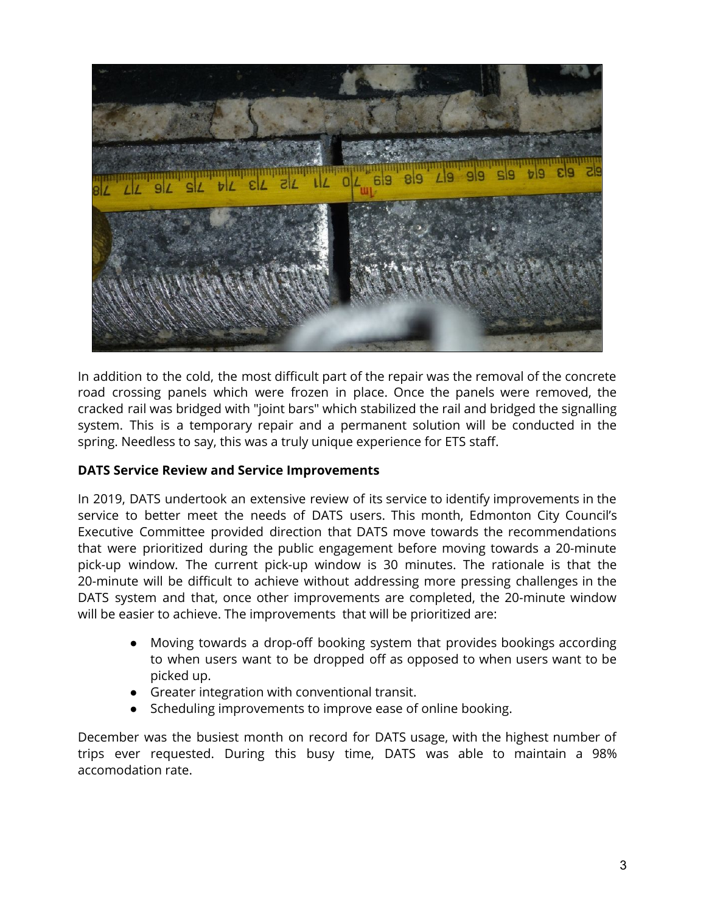

In addition to the cold, the most difficult part of the repair was the removal of the concrete road crossing panels which were frozen in place. Once the panels were removed, the cracked rail was bridged with "joint bars" which stabilized the rail and bridged the signalling system. This is a temporary repair and a permanent solution will be conducted in the spring. Needless to say, this was a truly unique experience for ETS staff.

## **DATS Service Review and Service Improvements**

In 2019, DATS undertook an extensive review of its service to identify improvements in the service to better meet the needs of DATS users. This month, Edmonton City Council's Executive Committee provided direction that DATS move towards the recommendations that were prioritized during the public engagement before moving towards a 20-minute pick-up window. The current pick-up window is 30 minutes. The rationale is that the 20-minute will be difficult to achieve without addressing more pressing challenges in the DATS system and that, once other improvements are completed, the 20-minute window will be easier to achieve. The improvements that will be prioritized are:

- Moving towards a drop-off booking system that provides bookings according to when users want to be dropped off as opposed to when users want to be picked up.
- Greater integration with conventional transit.
- Scheduling improvements to improve ease of online booking.

December was the busiest month on record for DATS usage, with the highest number of trips ever requested. During this busy time, DATS was able to maintain a 98% accomodation rate.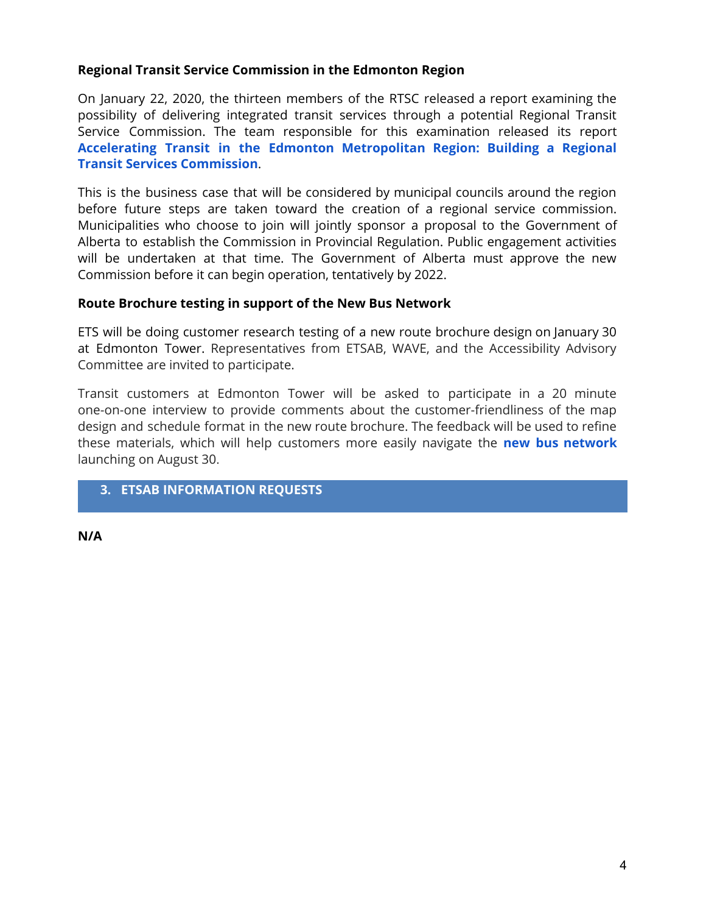## **Regional Transit Service Commission in the Edmonton Region**

On January 22, 2020, the thirteen members of the RTSC released a report examining the possibility of delivering integrated transit services through a potential Regional Transit Service Commission. The team responsible for this examination released its report **Accelerating Transit in the Edmonton [Metropolitan](https://www.edmonton.ca/documents/PDF/Accelerating_Transit_in_Edmonton_Metropolitan_Region.pdf) Region: Building a Regional Transit Services [Commission](https://www.edmonton.ca/documents/PDF/Accelerating_Transit_in_Edmonton_Metropolitan_Region.pdf)**.

This is the business case that will be considered by municipal councils around the region before future steps are taken toward the creation of a regional service commission. Municipalities who choose to join will jointly sponsor a proposal to the Government of Alberta to establish the Commission in Provincial Regulation. Public engagement activities will be undertaken at that time. The Government of Alberta must approve the new Commission before it can begin operation, tentatively by 2022.

## **Route Brochure testing in support of the New Bus Network**

ETS will be doing customer research testing of a new route brochure design on January 30 at Edmonton Tower. Representatives from ETSAB, WAVE, and the Accessibility Advisory Committee are invited to participate.

Transit customers at Edmonton Tower will be asked to participate in a 20 minute one-on-one interview to provide comments about the customer-friendliness of the map design and schedule format in the new route brochure. The feedback will be used to refine these materials, which will help customers more easily navigate the **new bus [network](https://www.edmonton.ca/projects_plans/transit/bus-network-redesign.aspx)** launching on August 30.

# **3. ETSAB INFORMATION REQUESTS**

**N/A**